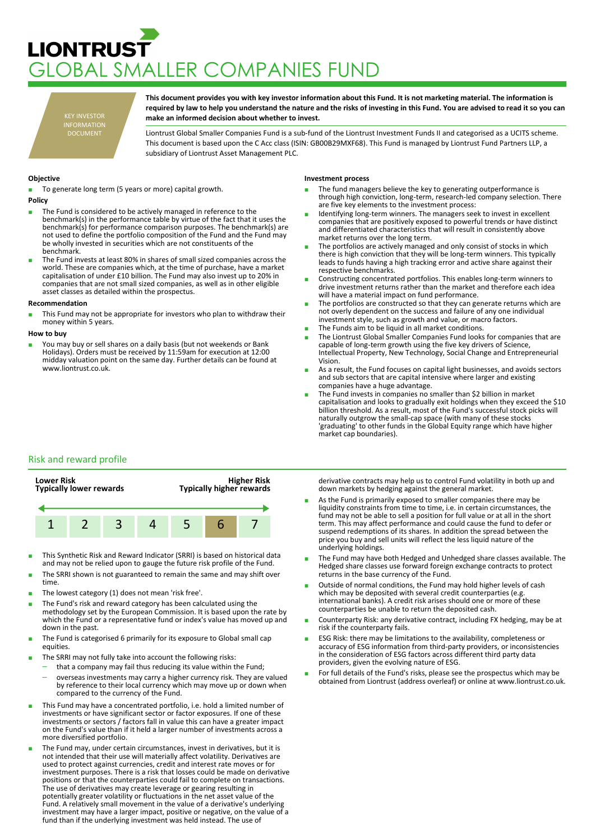# **LIONTRUST** GLOBAL SMALLER COMPANIES FUND

KEY INVESTOR DOCUMENT

**This document provides you with key investor information about this Fund. It is not marketing material. The information is required by law to help you understand the nature and the risks of investing in this Fund. You are advised to read it so you can make an informed decision about whether to invest.**

Liontrust Global Smaller Companies Fund is a sub-fund of the Liontrust Investment Funds II and categorised as a UCITS scheme. This document is based upon the C Acc class (ISIN: GB00B29MXF68). This Fund is managed by Liontrust Fund Partners LLP, a subsidiary of Liontrust Asset Management PLC.

# **Objective**

To generate long term (5 years or more) capital growth.

- **Policy** The Fund is considered to be actively managed in reference to the benchmark(s) in the performance table by virtue of the fact that it uses the benchmark(s) for performance comparison purposes. The benchmark(s) are
- not used to define the portfolio composition of the Fund and the Fund may be wholly invested in securities which are not constituents of the benchmark. The Fund invests at least 80% in shares of small sized companies across the
- world. These are companies which, at the time of purchase, have a market capitalisation of under £10 billion. The Fund may also invest up to 20% in companies that are not small sized companies, as well as in other eligible asset classes as detailed within the prospectus.

# **Recommendation**

This Fund may not be appropriate for investors who plan to withdraw their money within 5 years.

#### **How to buy**

You may buy or sell shares on a daily basis (but not weekends or Bank Holidays). Orders must be received by 11:59am for execution at 12:00 midday valuation point on the same day. Further details can be found at www.liontrust.co.uk

#### **Investment process**

- The fund managers believe the key to generating outperformance is through high conviction, long-term, research-led company selection. There are five key elements to the investment process:
- Identifying long-term winners. The managers seek to invest in excellent companies that are positively exposed to powerful trends or have distinct and differentiated characteristics that will result in consistently above market returns over the long term.
- The portfolios are actively managed and only consist of stocks in which there is high conviction that they will be long-term winners. This typically leads to funds having a high tracking error and active share against their respective benchmarks.
- Constructing concentrated portfolios. This enables long-term winners to drive investment returns rather than the market and therefore each idea will have a material impact on fund performance.
- The portfolios are constructed so that they can generate returns which are not overly dependent on the success and failure of any one individual investment style, such as growth and value, or macro factors.
- The Funds aim to be liquid in all market conditions.
- The Liontrust Global Smaller Companies Fund looks for companies that are capable of long-term growth using the five key drivers of Science, Intellectual Property, New Technology, Social Change and Entrepreneurial Vision.
- As a result, the Fund focuses on capital light businesses, and avoids sectors and sub sectors that are capital intensive where larger and existing companies have a huge advantage.
- The Fund invests in companies no smaller than \$2 billion in market capitalisation and looks to gradually exit holdings when they exceed the \$10 billion threshold. As a result, most of the Fund's successful stock picks will naturally outgrow the small-cap space (with many of these stocks 'graduating' to other funds in the Global Equity range which have higher market cap boundaries).

# Risk and reward profile



- This Synthetic Risk and Reward Indicator (SRRI) is based on historical data and may not be relied upon to gauge the future risk profile of the Fund.
- The SRRI shown is not guaranteed to remain the same and may shift over time.
- The lowest category (1) does not mean 'risk free'.
- The Fund's risk and reward category has been calculated using the methodology set by the European Commission. It is based upon the rate by which the Fund or a representative fund or index's value has moved up and down in the past.
- The Fund is categorised 6 primarily for its exposure to Global small cap equities.
- The SRRI may not fully take into account the following risks:
- that a company may fail thus reducing its value within the Fund;
- overseas investments may carry a higher currency risk. They are valued by reference to their local currency which may move up or down when compared to the currency of the Fund.
- This Fund may have a concentrated portfolio, i.e. hold a limited number of investments or have significant sector or factor exposures. If one of these investments or sectors / factors fall in value this can have a greater impact on the Fund's value than if it held a larger number of investments across a more diversified portfolio.
- The Fund may, under certain circumstances, invest in derivatives, but it is not intended that their use will materially affect volatility. Derivatives are used to protect against currencies, credit and interest rate moves or for investment purposes. There is a risk that losses could be made on derivative positions or that the counterparties could fail to complete on transactions. The use of derivatives may create leverage or gearing resulting in potentially greater volatility or fluctuations in the net asset value of the Fund. A relatively small movement in the value of a derivative's underlying investment may have a larger impact, positive or negative, on the value of a fund than if the underlying investment was held instead. The use of

derivative contracts may help us to control Fund volatility in both up and down markets by hedging against the general market.

- As the Fund is primarily exposed to smaller companies there may be liquidity constraints from time to time, i.e. in certain circumstances, the fund may not be able to sell a position for full value or at all in the short term. This may affect performance and could cause the fund to defer or suspend redemptions of its shares. In addition the spread between the price you buy and sell units will reflect the less liquid nature of the underlying holdings.
- The Fund may have both Hedged and Unhedged share classes available. The Hedged share classes use forward foreign exchange contracts to protect returns in the base currency of the Fund.
- Outside of normal conditions, the Fund may hold higher levels of cash which may be deposited with several credit counterparties (e.g. international banks). A credit risk arises should one or more of these counterparties be unable to return the deposited cash.
- Counterparty Risk: any derivative contract, including FX hedging, may be at risk if the counterparty fails.
- ESG Risk: there may be limitations to the availability, completeness or accuracy of ESG information from third-party providers, or inconsistencies in the consideration of ESG factors across different third party data providers, given the evolving nature of ESG.
- For full details of the Fund's risks, please see the prospectus which may be obtained from Liontrust (address overleaf) or online at www.liontrust.co.uk.